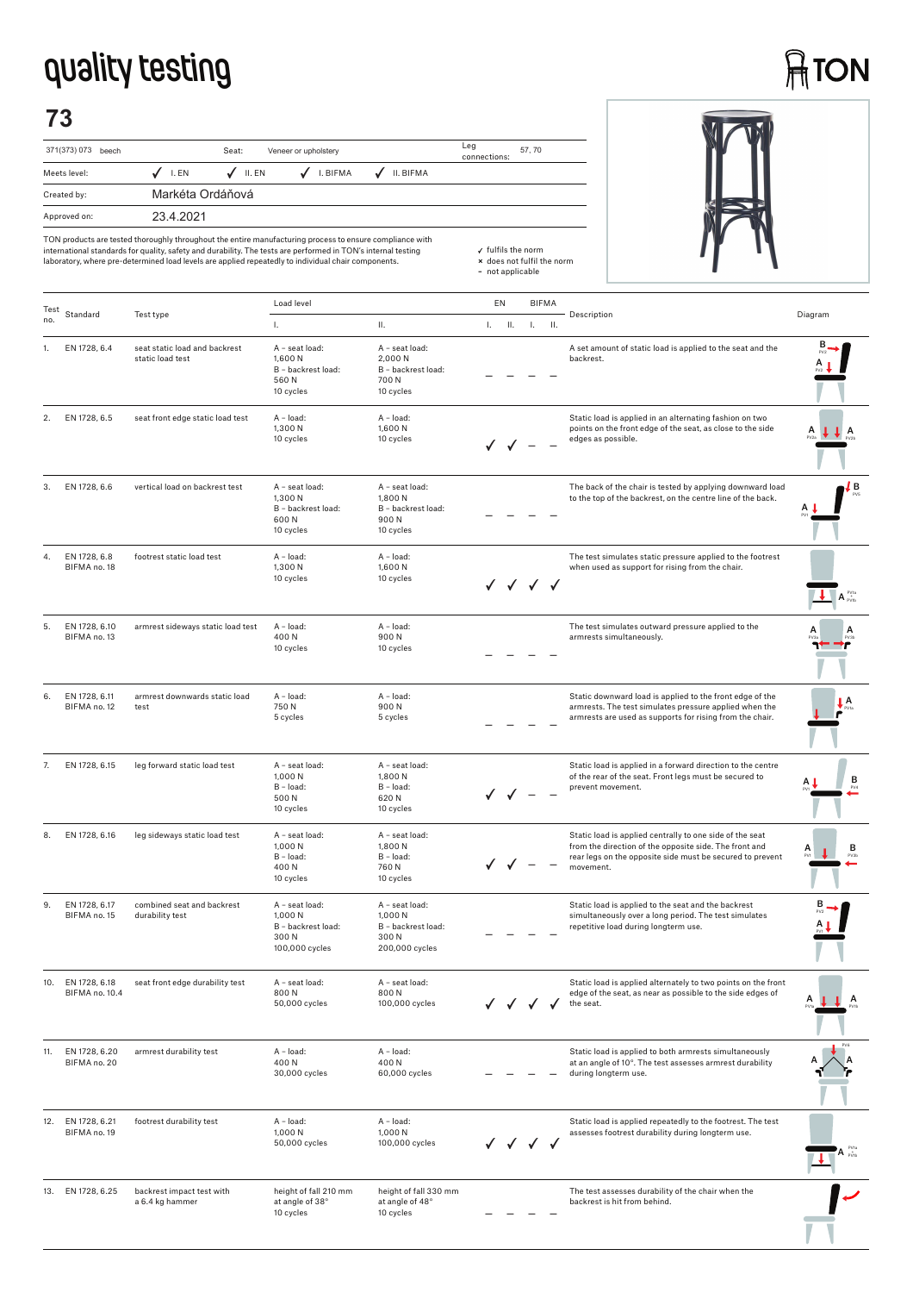## **quality testing**

# **ATON**

## **73**

| 371(373) 073<br>beech |                  | Veneer or upholstery<br>Seat: |          |           |  |  |  |
|-----------------------|------------------|-------------------------------|----------|-----------|--|--|--|
| Meets level:          | I. EN            | II. EN                        | I. BIFMA | II. BIFMA |  |  |  |
| Created by:           | Markéta Ordáňová |                               |          |           |  |  |  |
| Approved on:          | 23 4 2021        |                               |          |           |  |  |  |



| Test |                                 |                                                   | Load level                                                                |                                                                           | EN                 | <b>BIFMA</b> |    |                                                                                                                                                                                              |                                |
|------|---------------------------------|---------------------------------------------------|---------------------------------------------------------------------------|---------------------------------------------------------------------------|--------------------|--------------|----|----------------------------------------------------------------------------------------------------------------------------------------------------------------------------------------------|--------------------------------|
| no.  | Standard                        | Test type                                         | Τ.                                                                        | ΙΙ.                                                                       | $\mathbf{L}$<br>H. | L.           | H. | Description                                                                                                                                                                                  | Diagram                        |
| 1.   | EN 1728, 6.4                    | seat static load and backrest<br>static load test | A - seat load:<br>1,600 N<br>B - backrest load:<br>560N<br>10 cycles      | A - seat load:<br>2,000 N<br>B - backrest load:<br>700 N<br>10 cycles     |                    |              |    | A set amount of static load is applied to the seat and the<br>backrest.                                                                                                                      |                                |
| 2.   | EN 1728, 6.5                    | seat front edge static load test                  | $A - load:$<br>1,300 N<br>10 cycles                                       | A - load:<br>1,600 N<br>10 cycles                                         |                    |              |    | Static load is applied in an alternating fashion on two<br>points on the front edge of the seat, as close to the side<br>edges as possible.                                                  | А                              |
| 3.   | EN 1728, 6.6                    | vertical load on backrest test                    | A - seat load:<br>1,300 N<br>B - backrest load:<br>600N<br>10 cycles      | A - seat load:<br>1,800 N<br>B - backrest load:<br>900N<br>10 cycles      |                    |              |    | The back of the chair is tested by applying downward load<br>to the top of the backrest, on the centre line of the back.                                                                     | ۱В                             |
| 4.   | EN 1728, 6.8<br>BIFMA no. 18    | footrest static load test                         | A - load:<br>1,300 N<br>10 cycles                                         | A - load:<br>1,600N<br>10 cycles                                          | √ √ √ √            |              |    | The test simulates static pressure applied to the footrest<br>when used as support for rising from the chair.                                                                                | $A_{\text{evit}}^{\text{evu}}$ |
| 5.   | EN 1728, 6.10<br>BIFMA no. 13   | armrest sideways static load test                 | A - load:<br>400N<br>10 cycles                                            | A - load:<br>900N<br>10 cycles                                            |                    |              |    | The test simulates outward pressure applied to the<br>armrests simultaneously.                                                                                                               |                                |
| 6.   | EN 1728, 6.11<br>BIFMA no. 12   | armrest downwards static load<br>test             | A - load:<br>750N<br>5 cycles                                             | A - load:<br>900N<br>5 cycles                                             |                    |              |    | Static downward load is applied to the front edge of the<br>armrests. The test simulates pressure applied when the<br>armrests are used as supports for rising from the chair.               | A                              |
| 7.   | EN 1728, 6.15                   | leg forward static load test                      | A - seat load:<br>1,000 N<br>B - load:<br>500 N<br>10 cycles              | A - seat load:<br>1,800 N<br>B - load:<br>620N<br>10 cycles               |                    |              |    | Static load is applied in a forward direction to the centre<br>of the rear of the seat. Front legs must be secured to<br>prevent movement.                                                   | в                              |
| 8.   | EN 1728, 6.16                   | leg sideways static load test                     | A - seat load:<br>1,000 N<br>B - load:<br>400N<br>10 cycles               | A - seat load:<br>1,800 N<br>B - load:<br>760N<br>10 cycles               |                    |              |    | Static load is applied centrally to one side of the seat<br>from the direction of the opposite side. The front and<br>rear legs on the opposite side must be secured to prevent<br>movement. | в<br>PV3b                      |
| 9.   | EN 1728, 6.17<br>BIFMA no. 15   | combined seat and backrest<br>durability test     | A - seat load:<br>1,000 N<br>B - backrest load:<br>300N<br>100,000 cycles | A - seat load:<br>1,000 N<br>B - backrest load:<br>300N<br>200,000 cycles |                    |              |    | Static load is applied to the seat and the backrest<br>simultaneously over a long period. The test simulates<br>repetitive load during longterm use.                                         |                                |
| 10.  | EN 1728, 6.18<br>BIFMA no. 10.4 | seat front edge durability test                   | A - seat load:<br>800N<br>50,000 cycles                                   | A - seat load:<br>800N<br>100,000 cycles                                  | ✓ ✓ ✓              |              |    | Static load is applied alternately to two points on the front<br>edge of the seat, as near as possible to the side edges of<br>the seat.                                                     |                                |
| 11.  | EN 1728, 6.20<br>BIFMA no. 20   | armrest durability test                           | A - load:<br>400N<br>30,000 cycles                                        | A - load:<br>400N<br>60,000 cycles                                        |                    |              |    | Static load is applied to both armrests simultaneously<br>at an angle of 10°. The test assesses armrest durability<br>during longterm use.                                                   |                                |
| 12.  | EN 1728, 6.21<br>BIFMA no. 19   | footrest durability test                          | A - load:<br>1,000 N<br>50,000 cycles                                     | A - load:<br>1,000 N<br>100,000 cycles                                    |                    | $\checkmark$ |    | Static load is applied repeatedly to the footrest. The test<br>assesses footrest durability during longterm use.                                                                             |                                |
| 13.  | EN 1728, 6.25                   | backrest impact test with<br>a 6.4 kg hammer      | height of fall 210 mm<br>at angle of 38°<br>10 cycles                     | height of fall 330 mm<br>at angle of 48°<br>10 cycles                     |                    |              |    | The test assesses durability of the chair when the<br>backrest is hit from behind.                                                                                                           |                                |